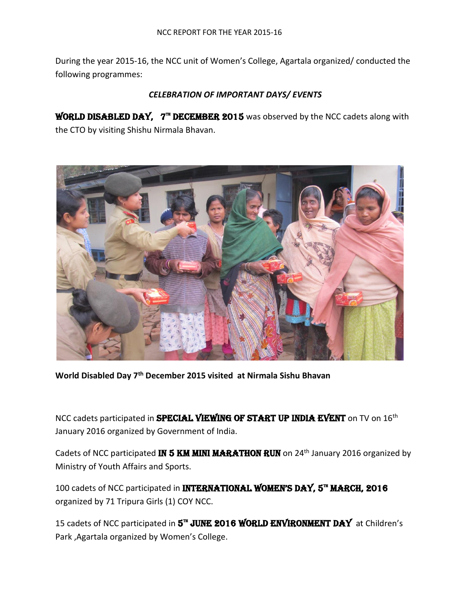During the year 2015-16, the NCC unit of Women's College, Agartala organized/ conducted the following programmes:

## *CELEBRATION OF IMPORTANT DAYS/ EVENTS*

**WORLD DISABLED DAY,**  $7^{\pi}$  **DECEMBER 2015** was observed by the NCC cadets along with the CTO by visiting Shishu Nirmala Bhavan.



**World Disabled Day 7th December 2015 visited at Nirmala Sishu Bhavan** 

NCC cadets participated in **SPECIAL VIEWING OF START UP INDIA EVENT** on TV on 16<sup>th</sup> January 2016 organized by Government of India.

Cadets of NCC participated IN 5 KM MINI MARATHON RUN on 24<sup>th</sup> January 2016 organized by Ministry of Youth Affairs and Sports.

100 cadets of NCC participated in INTERNATIONAL WOMEN'S DAY, 5<sup>th</sup> MARCH, 2016 organized by 71 Tripura Girls (1) COY NCC.

15 cadets of NCC participated in 5<sup>™</sup> JUNE 2016 WORLD ENVIRONMENT DAY at Children's Park ,Agartala organized by Women's College.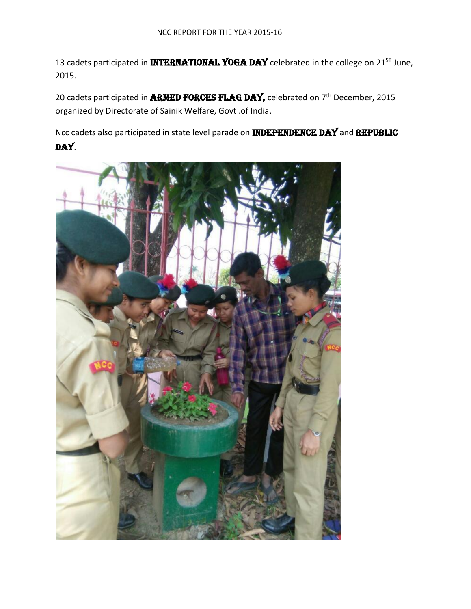13 cadets participated in **INTERNATIONAL YOGA DAY** celebrated in the college on 21<sup>ST</sup> June, 2015.

20 cadets participated in **ARMED FORCES FLAG DAY,** celebrated on  $7<sup>th</sup>$  December, 2015 organized by Directorate of Sainik Welfare, Govt .of India.

Ncc cadets also participated in state level parade on **INDEPENDENCE DAY** and REPUBLIC DAY.

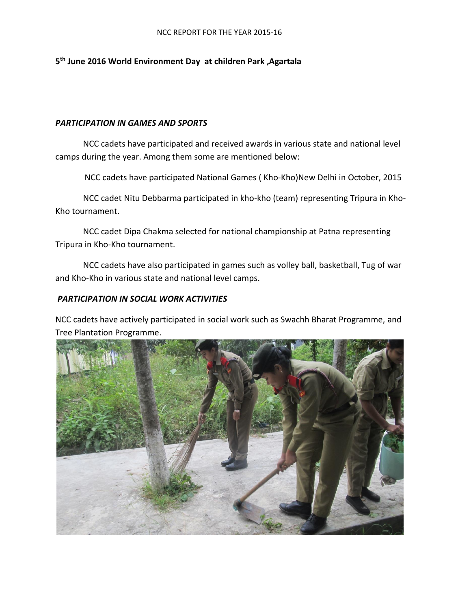#### NCC REPORT FOR THE YEAR 2015-16

## **5 th June 2016 World Environment Day at children Park ,Agartala**

#### *PARTICIPATION IN GAMES AND SPORTS*

NCC cadets have participated and received awards in various state and national level camps during the year. Among them some are mentioned below:

NCC cadets have participated National Games ( Kho-Kho)New Delhi in October, 2015

NCC cadet Nitu Debbarma participated in kho-kho (team) representing Tripura in Kho-Kho tournament.

NCC cadet Dipa Chakma selected for national championship at Patna representing Tripura in Kho-Kho tournament.

NCC cadets have also participated in games such as volley ball, basketball, Tug of war and Kho-Kho in various state and national level camps.

### *PARTICIPATION IN SOCIAL WORK ACTIVITIES*

NCC cadets have actively participated in social work such as Swachh Bharat Programme, and Tree Plantation Programme.